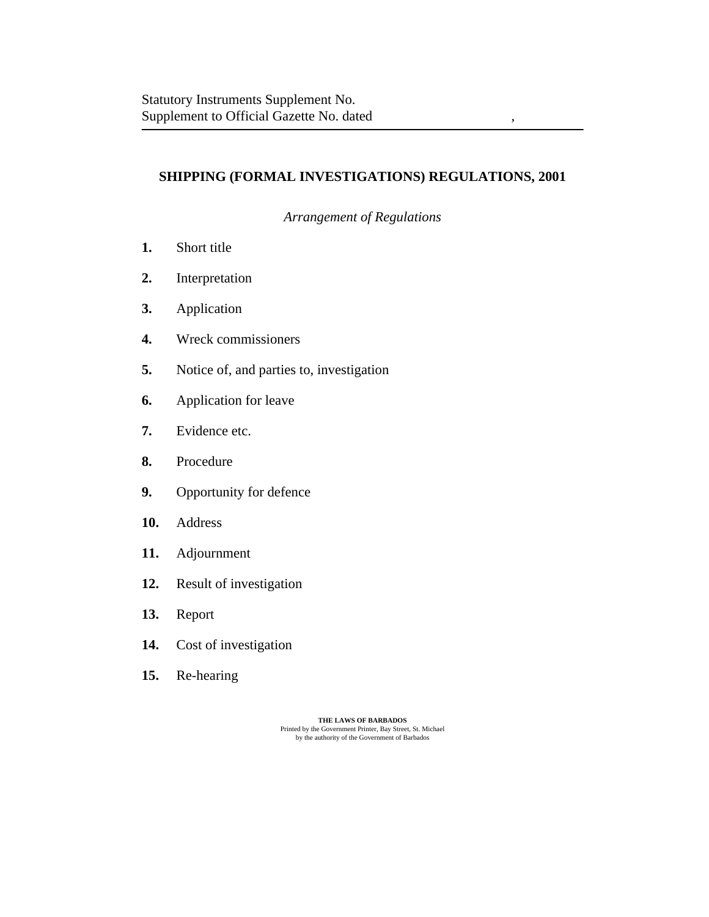# **SHIPPING (FORMAL INVESTIGATIONS) REGULATIONS, 2001**

*Arrangement of Regulations*

- [Short title](#page-2-0) **1.**
- [Interpretation](#page-2-0) **2.**
- [Application](#page-3-0) **3.**
- [Wreck commissioners](#page-3-0) **4.**
- [Notice of, and parties to, investigation](#page-4-0) **5.**
- [Application for leave](#page-5-0) **6.**
- [Evidence etc.](#page-5-0) **7.**
- [Procedure](#page-6-0) **8.**
- [Opportunity for defence](#page-8-0) **9.**
- [Address](#page-8-0) **10.**
- [Adjournment](#page-8-0) **11.**
- [Result of investigation](#page-8-0) **12.**
- [Report](#page-9-0) **13.**
- [Cost of investigation](#page-9-0) **14.**
- [Re-hearing](#page-10-0) **15.**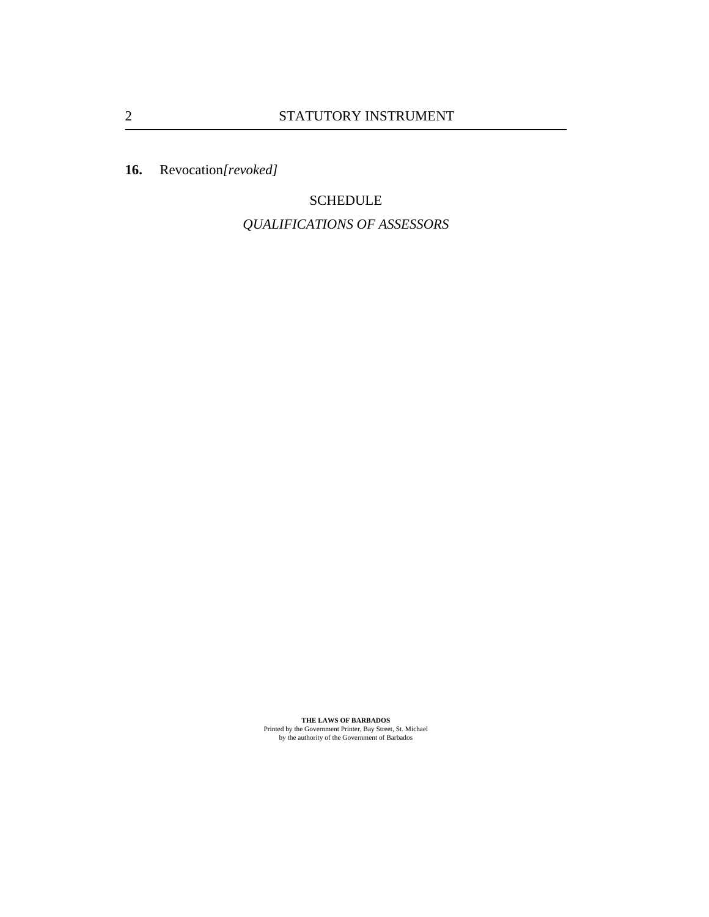[Revocation](#page-10-0)*[revoked]* **16.**

> **SCHEDULE** *[QUALIFICATIONS OF ASSESSORS](#page-11-0)*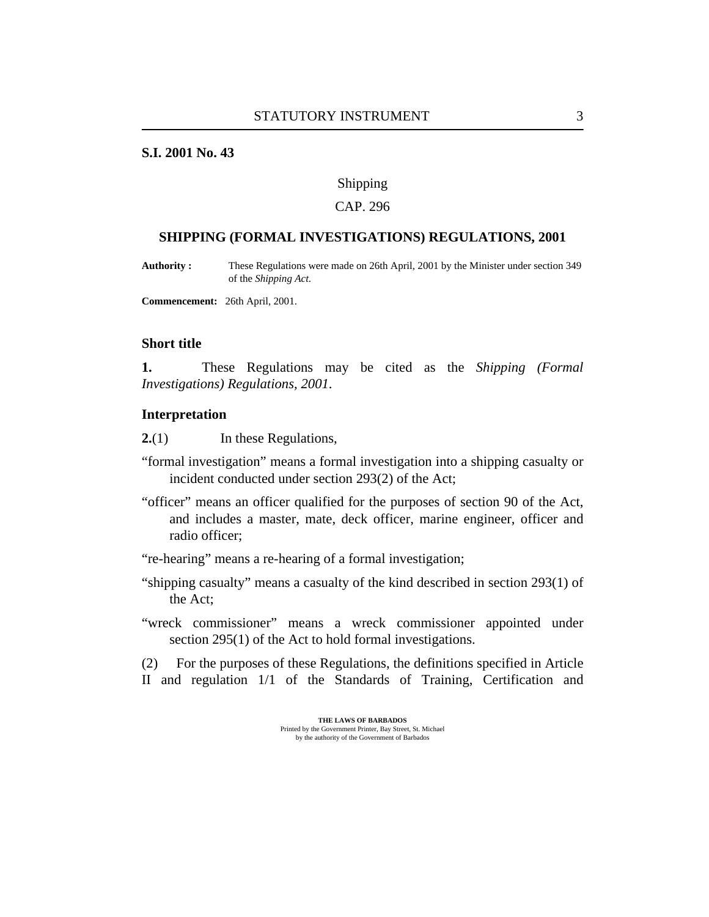### <span id="page-2-0"></span>**S.I. 2001 No. 43**

#### Shipping

### CAP. 296

### **SHIPPING (FORMAL INVESTIGATIONS) REGULATIONS, 2001**

These Regulations were made on 26th April, 2001 by the Minister under section 349 of the *Shipping Act*. **Authority :**

**Commencement:** 26th April, 2001.

### **Short title**

These Regulations may be cited as the *Shipping (Formal Investigations) Regulations, 2001*. **1.**

#### **Interpretation**

In these Regulations, **2.**(1)

- "formal investigation" means a formal investigation into a shipping casualty or incident conducted under section 293(2) of the Act;
- "officer" means an officer qualified for the purposes of section 90 of the Act, and includes a master, mate, deck officer, marine engineer, officer and radio officer;
- "re-hearing" means a re-hearing of a formal investigation;
- "shipping casualty" means a casualty of the kind described in section 293(1) of the Act;
- "wreck commissioner" means a wreck commissioner appointed under section 295(1) of the Act to hold formal investigations.

For the purposes of these Regulations, the definitions specified in Article II and regulation 1/1 of the Standards of Training, Certification and (2)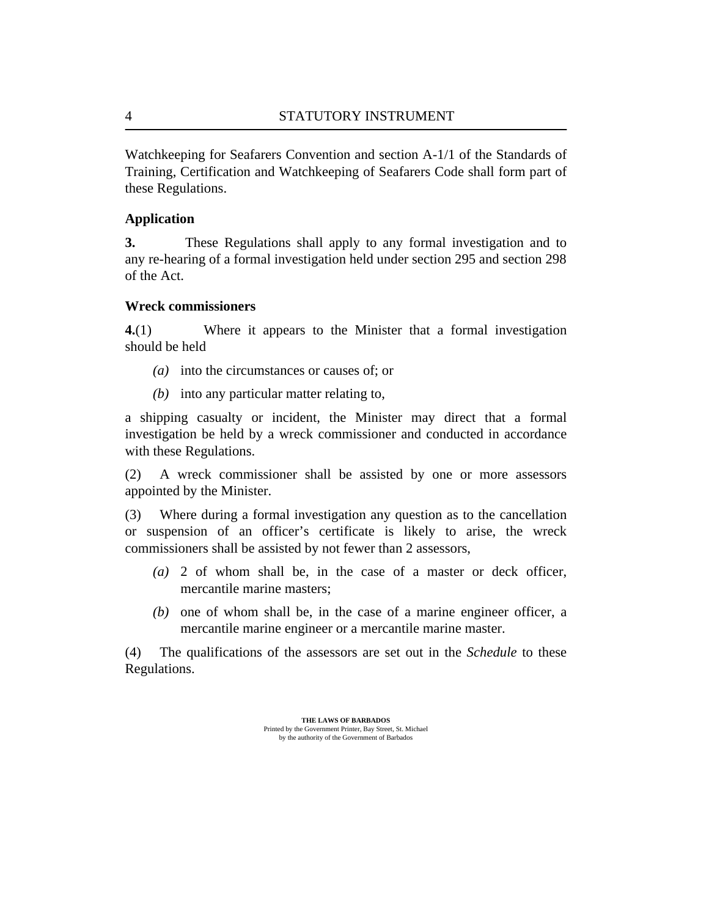Watchkeeping for Seafarers Convention and section A-1/1 of the Standards of Training, Certification and Watchkeeping of Seafarers Code shall form part of these Regulations.

### **Application**

These Regulations shall apply to any formal investigation and to any re-hearing of a formal investigation held under section 295 and section 298 of the Act. **3.**

## **Wreck commissioners**

Where it appears to the Minister that a formal investigation should be held **4.**(1)

- into the circumstances or causes of; or *(a)*
- into any particular matter relating to, *(b)*

a shipping casualty or incident, the Minister may direct that a formal investigation be held by a wreck commissioner and conducted in accordance with these Regulations.

A wreck commissioner shall be assisted by one or more assessors appointed by the Minister. (2)

Where during a formal investigation any question as to the cancellation or suspension of an officer's certificate is likely to arise, the wreck commissioners shall be assisted by not fewer than 2 assessors, (3)

- 2 of whom shall be, in the case of a master or deck officer, *(a)* mercantile marine masters;
- $(b)$  one of whom shall be, in the case of a marine engineer officer, a mercantile marine engineer or a mercantile marine master.

The qualifications of the assessors are set out in the *[Schedule](#page-11-0)* to these Regulations. (4)

<span id="page-3-0"></span>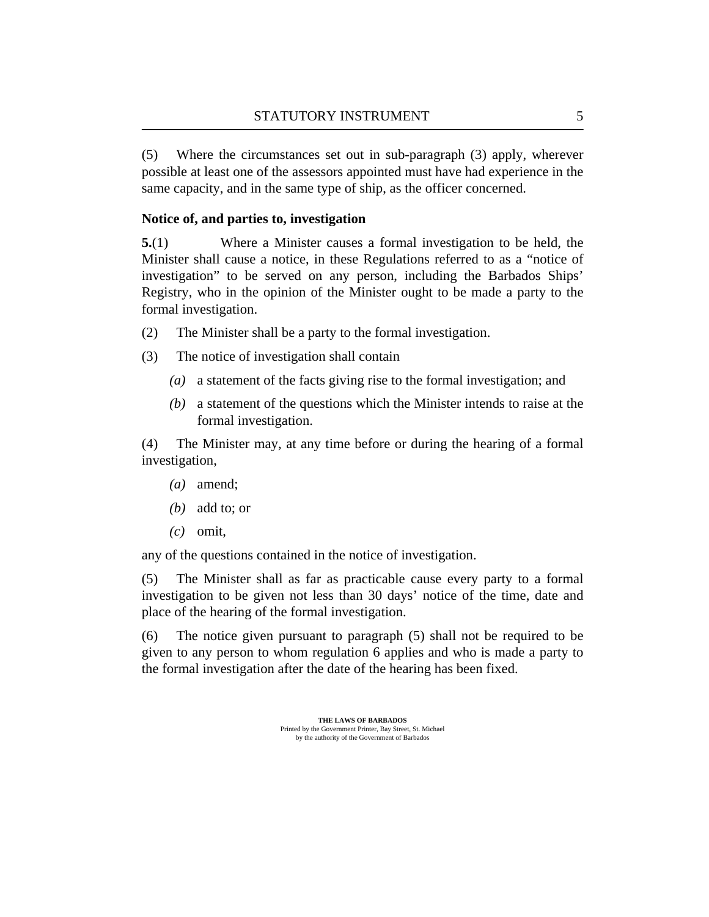<span id="page-4-0"></span>Where the circumstances set out in sub-paragraph (3) apply, wherever possible at least one of the assessors appointed must have had experience in the same capacity, and in the same type of ship, as the officer concerned. (5)

## **Notice of, and parties to, investigation**

Where a Minister causes a formal investigation to be held, the Minister shall cause a notice, in these Regulations referred to as a "notice of investigation" to be served on any person, including the Barbados Ships' Registry, who in the opinion of the Minister ought to be made a party to the formal investigation. **5.**(1)

- The Minister shall be a party to the formal investigation. (2)
- The notice of investigation shall contain (3)
	- (a) a statement of the facts giving rise to the formal investigation; and
	- a statement of the questions which the Minister intends to raise at the *(b)* formal investigation.

The Minister may, at any time before or during the hearing of a formal investigation, (4)

- amend; *(a)*
- add to; or *(b)*
- $(c)$  omit,

any of the questions contained in the notice of investigation.

The Minister shall as far as practicable cause every party to a formal investigation to be given not less than 30 days' notice of the time, date and place of the hearing of the formal investigation. (5)

The notice given pursuant to paragraph (5) shall not be required to be given to any person to whom [regulation 6](#page-5-0) applies and who is made a party to the formal investigation after the date of the hearing has been fixed. (6)

> **THE LAWS OF BARBADOS** Printed by the Government Printer, Bay Street, St. Michael

by the authority of the Government of Barbados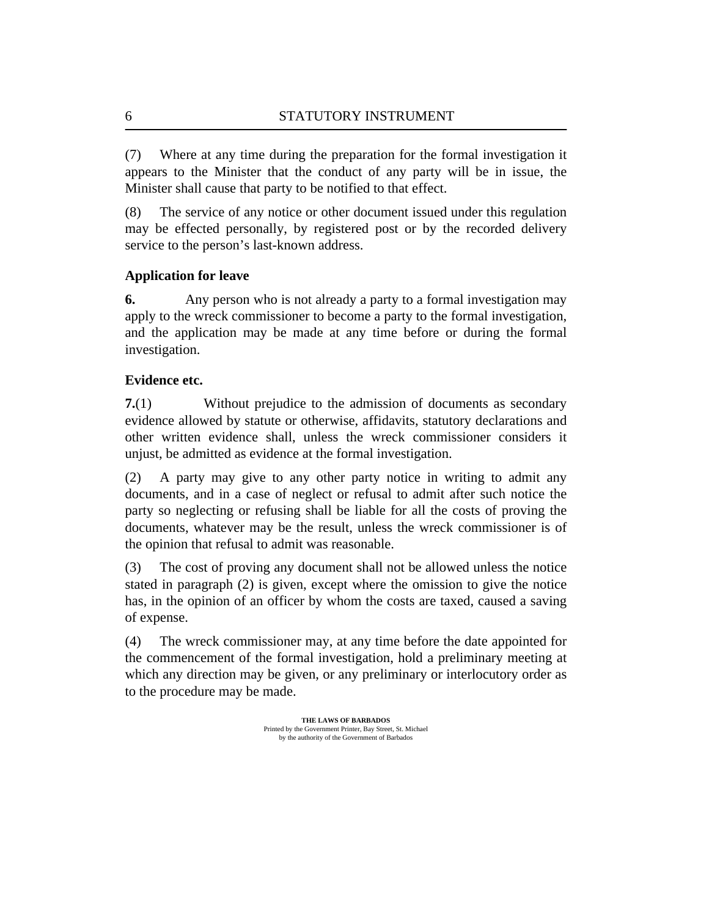Where at any time during the preparation for the formal investigation it appears to the Minister that the conduct of any party will be in issue, the Minister shall cause that party to be notified to that effect. (7)

The service of any notice or other document issued under this regulation may be effected personally, by registered post or by the recorded delivery service to the person's last-known address. (8)

## **Application for leave**

Any person who is not already a party to a formal investigation may apply to the wreck commissioner to become a party to the formal investigation, and the application may be made at any time before or during the formal investigation. **6.**

## **Evidence etc.**

Without prejudice to the admission of documents as secondary evidence allowed by statute or otherwise, affidavits, statutory declarations and other written evidence shall, unless the wreck commissioner considers it unjust, be admitted as evidence at the formal investigation. **7.**(1)

A party may give to any other party notice in writing to admit any documents, and in a case of neglect or refusal to admit after such notice the party so neglecting or refusing shall be liable for all the costs of proving the documents, whatever may be the result, unless the wreck commissioner is of the opinion that refusal to admit was reasonable. (2)

The cost of proving any document shall not be allowed unless the notice stated in paragraph (2) is given, except where the omission to give the notice has, in the opinion of an officer by whom the costs are taxed, caused a saving of expense. (3)

The wreck commissioner may, at any time before the date appointed for the commencement of the formal investigation, hold a preliminary meeting at which any direction may be given, or any preliminary or interlocutory order as to the procedure may be made. (4)

<span id="page-5-0"></span>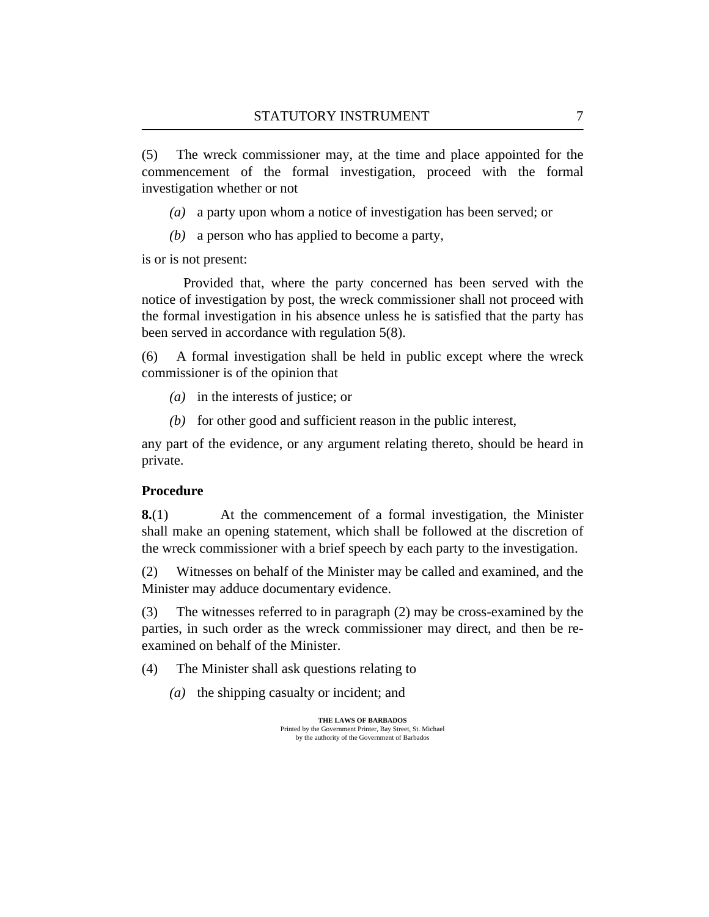<span id="page-6-0"></span>The wreck commissioner may, at the time and place appointed for the commencement of the formal investigation, proceed with the formal investigation whether or not (5)

- a party upon whom a notice of investigation has been served; or *(a)*
- a person who has applied to become a party, *(b)*

is or is not present:

Provided that, where the party concerned has been served with the notice of investigation by post, the wreck commissioner shall not proceed with the formal investigation in his absence unless he is satisfied that the party has been served in accordance with [regulation 5\(8\).](#page-5-0)

A formal investigation shall be held in public except where the wreck commissioner is of the opinion that (6)

- in the interests of justice; or *(a)*
- (b) for other good and sufficient reason in the public interest,

any part of the evidence, or any argument relating thereto, should be heard in private.

### **Procedure**

At the commencement of a formal investigation, the Minister shall make an opening statement, which shall be followed at the discretion of the wreck commissioner with a brief speech by each party to the investigation. **8.**(1)

Witnesses on behalf of the Minister may be called and examined, and the Minister may adduce documentary evidence. (2)

The witnesses referred to in paragraph (2) may be cross-examined by the parties, in such order as the wreck commissioner may direct, and then be reexamined on behalf of the Minister. (3)

The Minister shall ask questions relating to (4)

(a) the shipping casualty or incident; and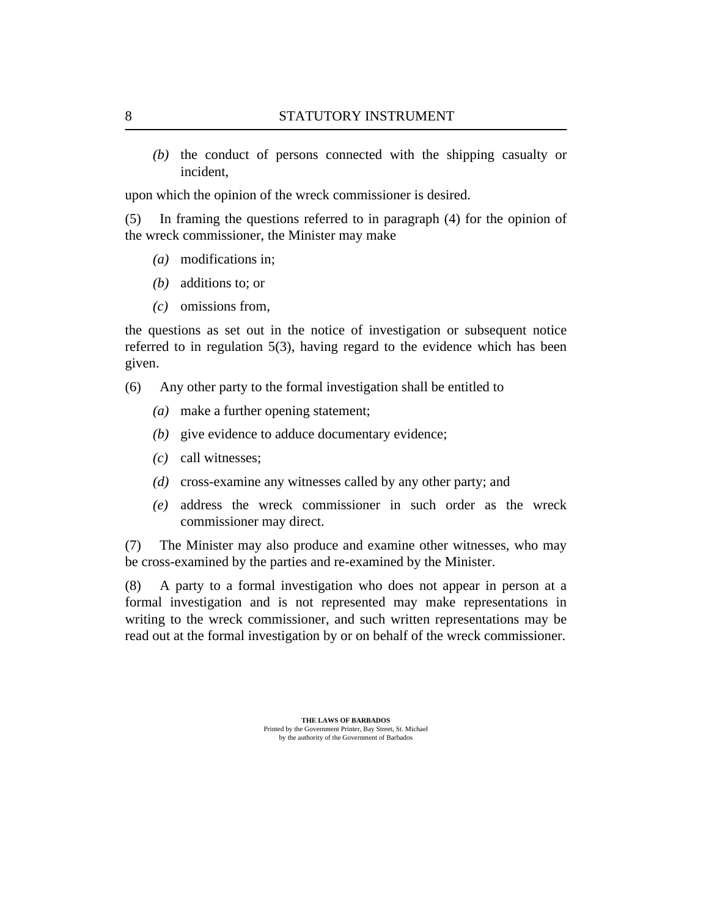$(t)$  the conduct of persons connected with the shipping casualty or incident,

upon which the opinion of the wreck commissioner is desired.

In framing the questions referred to in paragraph (4) for the opinion of the wreck commissioner, the Minister may make (5)

- modifications in; *(a)*
- additions to; or *(b)*
- omissions from, *(c)*

the questions as set out in the notice of investigation or subsequent notice referred to in [regulation 5\(3\),](#page-4-0) having regard to the evidence which has been given.

- Any other party to the formal investigation shall be entitled to (6)
	- make a further opening statement; *(a)*
	- (b) give evidence to adduce documentary evidence;
	- call witnesses; *(c)*
	- (d) cross-examine any witnesses called by any other party; and
	- address the wreck commissioner in such order as the wreck *(e)* commissioner may direct.

The Minister may also produce and examine other witnesses, who may be cross-examined by the parties and re-examined by the Minister. (7)

A party to a formal investigation who does not appear in person at a formal investigation and is not represented may make representations in writing to the wreck commissioner, and such written representations may be read out at the formal investigation by or on behalf of the wreck commissioner. (8)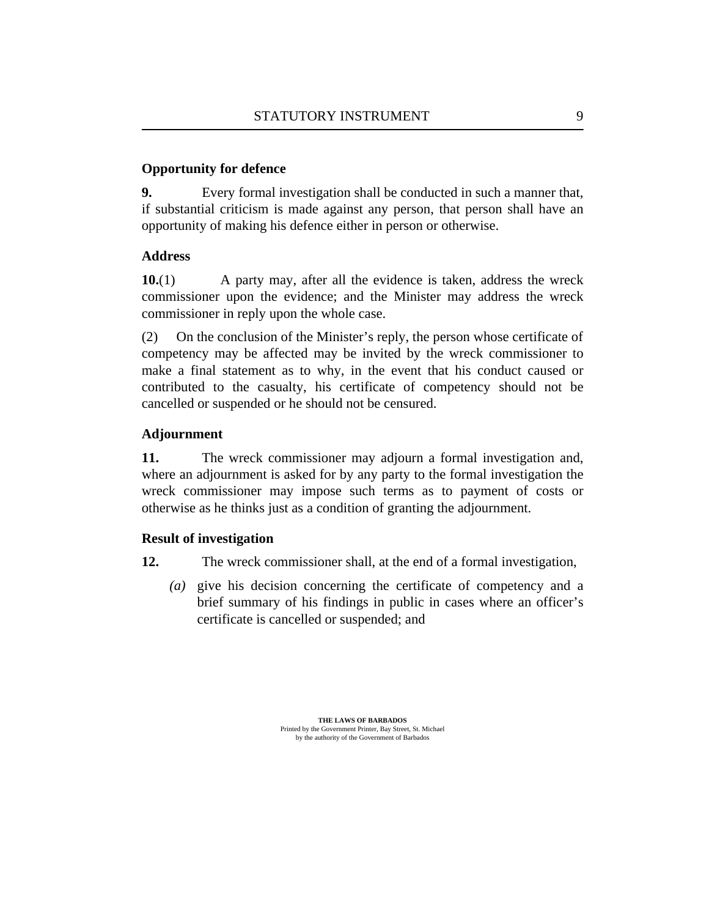## <span id="page-8-0"></span>**Opportunity for defence**

Every formal investigation shall be conducted in such a manner that, if substantial criticism is made against any person, that person shall have an opportunity of making his defence either in person or otherwise. **9.**

## **Address**

A party may, after all the evidence is taken, address the wreck commissioner upon the evidence; and the Minister may address the wreck commissioner in reply upon the whole case. **10.**(1)

On the conclusion of the Minister's reply, the person whose certificate of competency may be affected may be invited by the wreck commissioner to make a final statement as to why, in the event that his conduct caused or contributed to the casualty, his certificate of competency should not be cancelled or suspended or he should not be censured. (2)

## **Adjournment**

The wreck commissioner may adjourn a formal investigation and, where an adjournment is asked for by any party to the formal investigation the wreck commissioner may impose such terms as to payment of costs or otherwise as he thinks just as a condition of granting the adjournment. **11.**

## **Result of investigation**

- The wreck commissioner shall, at the end of a formal investigation, **12.**
	- give his decision concerning the certificate of competency and a *(a)* brief summary of his findings in public in cases where an officer's certificate is cancelled or suspended; and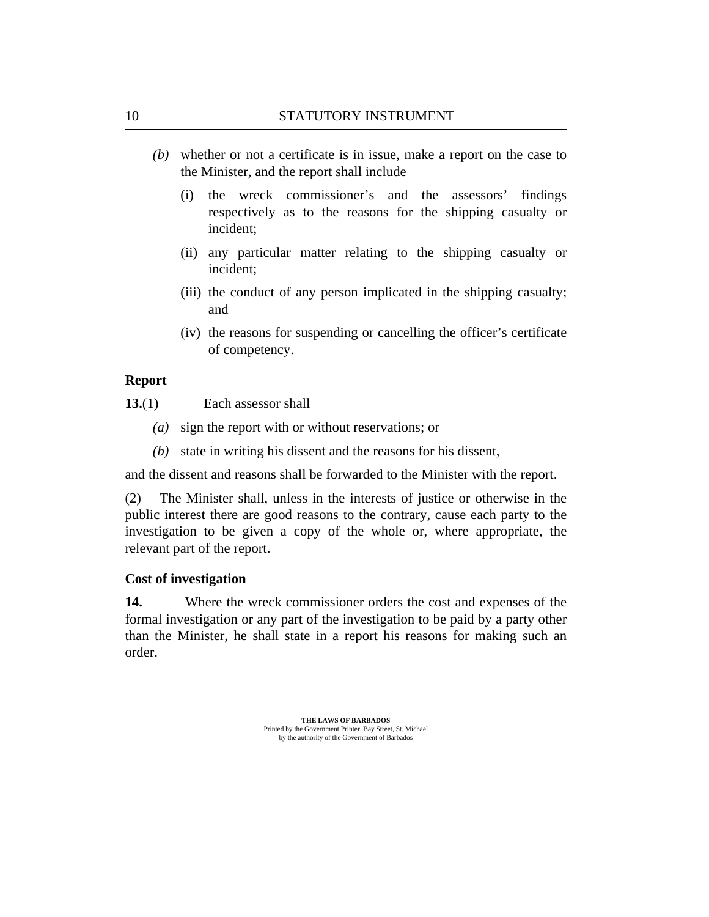- <span id="page-9-0"></span>whether or not a certificate is in issue, make a report on the case to *(b)* the Minister, and the report shall include
	- the wreck commissioner's and the assessors' findings respectively as to the reasons for the shipping casualty or incident; (i)
	- (ii) any particular matter relating to the shipping casualty or incident;
	- (iii) the conduct of any person implicated in the shipping casualty; and
	- (iv) the reasons for suspending or cancelling the officer's certificate of competency.

### **Report**

- Each assessor shall **13.**(1)
	- (a) sign the report with or without reservations; or
	- (b) state in writing his dissent and the reasons for his dissent,

and the dissent and reasons shall be forwarded to the Minister with the report.

The Minister shall, unless in the interests of justice or otherwise in the public interest there are good reasons to the contrary, cause each party to the investigation to be given a copy of the whole or, where appropriate, the relevant part of the report. (2)

### **Cost of investigation**

Where the wreck commissioner orders the cost and expenses of the formal investigation or any part of the investigation to be paid by a party other than the Minister, he shall state in a report his reasons for making such an order. **14.**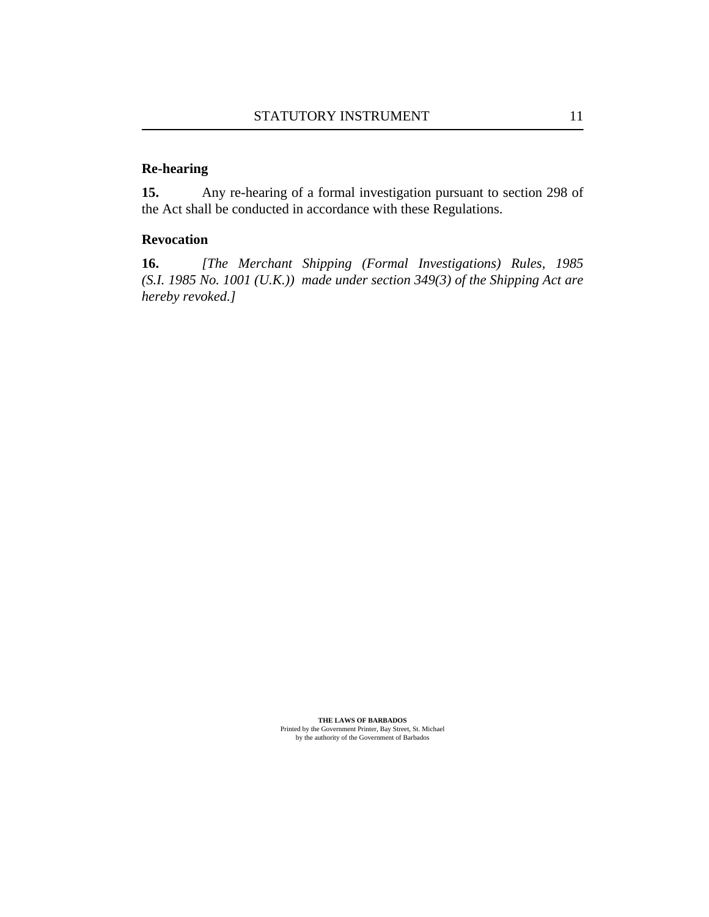# <span id="page-10-0"></span>**Re-hearing**

Any re-hearing of a formal investigation pursuant to section 298 of the Act shall be conducted in accordance with these Regulations. **15.**

### **Revocation**

*[The [Merchant Shipping \(Formal Investigations\) Rules, 1985](http://vm-lims2008:8480/en/showdoc/cr/) [\(S.I. 1985 No. 1001 \(U.K.\)\)](http://vm-lims2008:8480/en/showdoc/cr/) made under section 349(3) of the Shipping Act are hereby revoked.]* **16.**